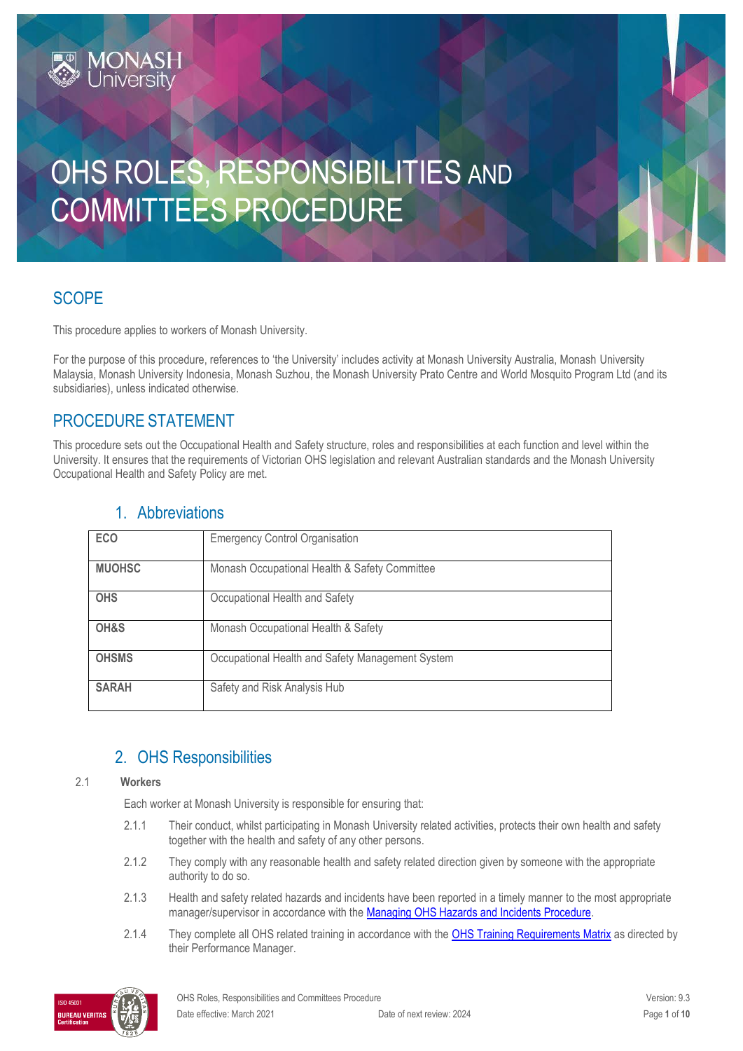# OHS ROLES, RESPONSIBILITIES AND COMMITTEES PROCEDURE

# **SCOPE**

This procedure applies to workers of Monash University.

For the purpose of this procedure, references to 'the University' includes activity at Monash University Australia, Monash University Malaysia, Monash University Indonesia, Monash Suzhou, the Monash University Prato Centre and World Mosquito Program Ltd (and its subsidiaries), unless indicated otherwise.

# PROCEDURE STATEMENT

**MONASH**<br>Jniversity

This procedure sets out the Occupational Health and Safety structure, roles and responsibilities at each function and level within the University. It ensures that the requirements of Victorian OHS legislation and relevant Australian standards and the Monash University Occupational Health and Safety Policy are met.

| <b>ECO</b>    | <b>Emergency Control Organisation</b>            |
|---------------|--------------------------------------------------|
| <b>MUOHSC</b> | Monash Occupational Health & Safety Committee    |
| <b>OHS</b>    | Occupational Health and Safety                   |
| OH&S          | Monash Occupational Health & Safety              |
| <b>OHSMS</b>  | Occupational Health and Safety Management System |
| <b>SARAH</b>  | Safety and Risk Analysis Hub                     |

# 1. Abbreviations

# 2. OHS Responsibilities

#### 2.1 **Workers**

Each worker at Monash University is responsible for ensuring that:

- 2.1.1 Their conduct, whilst participating in Monash University related activities, protects their own health and safety together with the health and safety of any other persons.
- 2.1.2 They comply with any reasonable health and safety related direction given by someone with the appropriate authority to do so.
- 2.1.3 Health and safety related hazards and incidents have been reported in a timely manner to the most appropriate manager/supervisor in accordance with the **Managing OHS Hazards and Incidents Procedure**.
- 2.1.4 They complete all OHS related training in accordance with the **OHS Training Requirements Matrix** as directed by their Performance Manager.

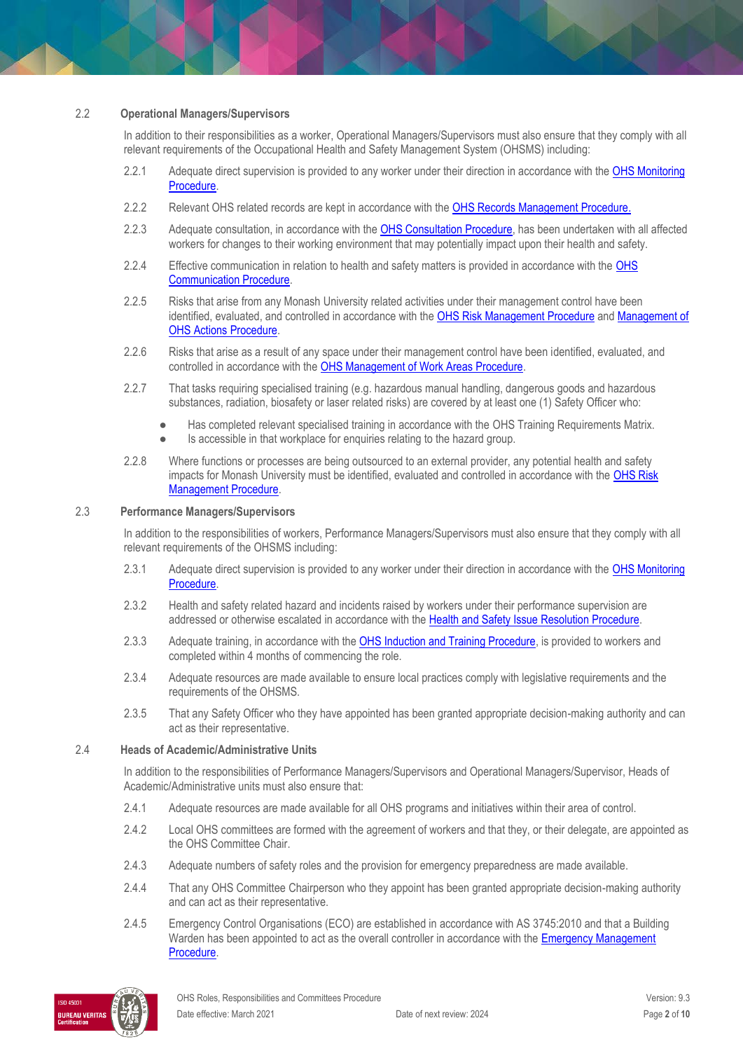#### 2.2 **Operational Managers/Supervisors**

In addition to their responsibilities as a worker, Operational Managers/Supervisors must also ensure that they comply with all relevant requirements of the Occupational Health and Safety Management System (OHSMS) including:

- 2.2.1 Adequate direct supervision is provided to any worker under their direction in accordance with the OHS Monitoring [Procedure.](https://publicpolicydms.monash.edu/Monash/documents/1935632)
- 2.2.2 Relevant OHS related records are kept in accordance with the [OHS Records Management Procedure.](https://publicpolicydms.monash.edu/Monash/documents/1935642)
- 2.2.3 Adequate consultation, in accordance with the [OHS Consultation Procedure,](https://publicpolicydms.monash.edu/Monash/documents/1935625) has been undertaken with all affected workers for changes to their working environment that may potentially impact upon their health and safety.
- 2.2.4 Effective communication in relation to health and safety matters is provided in accordance with the OHS [Communication Procedure.](https://publicpolicydms.monash.edu/Monash/documents/1935624)
- 2.2.5 Risks that arise from any Monash University related activities under their management control have been identified, evaluated, and controlled in accordance with the [OHS Risk Management](https://publicpolicydms.monash.edu/Monash/documents/1935636) Procedure and Management of [OHS Actions Procedure.](https://publicpolicydms.monash.edu/Monash/documents/1935618)
- 2.2.6 Risks that arise as a result of any space under their management control have been identified, evaluated, and controlled in accordance with the [OHS Management of Work Areas Procedure.](https://publicpolicydms.monash.edu/Monash/documents/1935630)
- 2.2.7 That tasks requiring specialised training (e.g. hazardous manual handling, dangerous goods and hazardous substances, radiation, biosafety or laser related risks) are covered by at least one (1) Safety Officer who:
	- Has completed relevant specialised training in accordance with the OHS Training Requirements Matrix.
	- Is accessible in that workplace for enquiries relating to the hazard group.
- 2.2.8 Where functions or processes are being outsourced to an external provider, any potential health and safety impacts for Monash University must be identified, evaluated and controlled in accordance with the [OHS Risk](https://publicpolicydms.monash.edu/Monash/documents/1935636)  [Management Procedure.](https://publicpolicydms.monash.edu/Monash/documents/1935636)

#### 2.3 **Performance Managers/Supervisors**

In addition to the responsibilities of workers, Performance Managers/Supervisors must also ensure that they comply with all relevant requirements of the OHSMS including:

- 2.3.1 Adequate direct supervision is provided to any worker under their direction in accordance with the OHS Monitoring [Procedure.](https://publicpolicydms.monash.edu/Monash/documents/1935632)
- 2.3.2 Health and safety related hazard and incidents raised by workers under their performance supervision are addressed or otherwise escalated in accordance with the [Health and Safety Issue Resolution Procedure.](https://publicpolicydms.monash.edu/Monash/documents/1935619)
- 2.3.3 Adequate training, in accordance with the [OHS Induction and Training Procedure,](https://publicpolicydms.monash.edu/Monash/documents/1935627) is provided to workers and completed within 4 months of commencing the role.
- 2.3.4 Adequate resources are made available to ensure local practices comply with legislative requirements and the requirements of the OHSMS.
- 2.3.5 That any Safety Officer who they have appointed has been granted appropriate decision-making authority and can act as their representative.

#### 2.4 **Heads of Academic/Administrative Units**

In addition to the responsibilities of Performance Managers/Supervisors and Operational Managers/Supervisor, Heads of Academic/Administrative units must also ensure that:

- 2.4.1 Adequate resources are made available for all OHS programs and initiatives within their area of control.
- 2.4.2 Local OHS committees are formed with the agreement of workers and that they, or their delegate, are appointed as the OHS Committee Chair.
- 2.4.3 Adequate numbers of safety roles and the provision for emergency preparedness are made available.
- 2.4.4 That any OHS Committee Chairperson who they appoint has been granted appropriate decision-making authority and can act as their representative.
- 2.4.5 Emergency Control Organisations (ECO) are established in accordance with AS 3745:2010 and that a Building Warden has been appointed to act as the overall controller in accordance with the Emergency Management [Procedure.](https://publicpolicydms.monash.edu/Monash/documents/1935608)

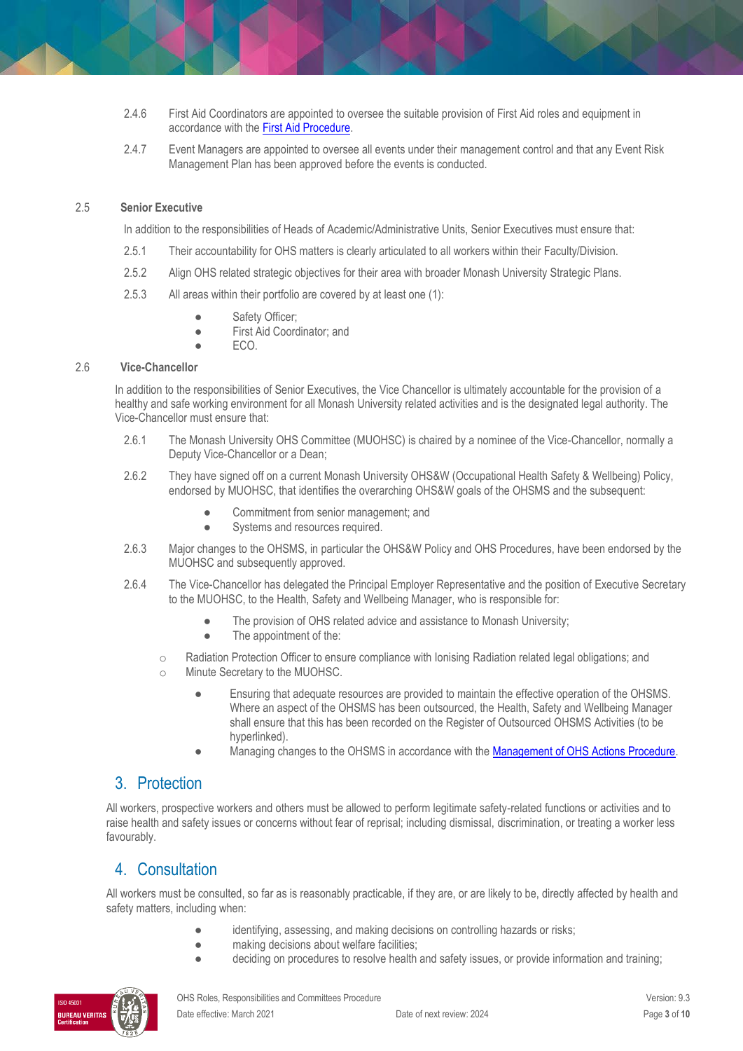- 2.4.6 First Aid Coordinators are appointed to oversee the suitable provision of First Aid roles and equipment in accordance with th[e First Aid Procedure.](https://publicpolicydms.monash.edu/Monash/documents/1935610)
- 2.4.7 Event Managers are appointed to oversee all events under their management control and that any Event Risk Management Plan has been approved before the events is conducted.

#### 2.5 **Senior Executive**

In addition to the responsibilities of Heads of Academic/Administrative Units, Senior Executives must ensure that:

- 2.5.1 Their accountability for OHS matters is clearly articulated to all workers within their Faculty/Division.
- 2.5.2 Align OHS related strategic objectives for their area with broader Monash University Strategic Plans.
- 2.5.3 All areas within their portfolio are covered by at least one (1):
	- Safety Officer;
	- First Aid Coordinator; and
		- ECO.

#### 2.6 **Vice-Chancellor**

In addition to the responsibilities of Senior Executives, the Vice Chancellor is ultimately accountable for the provision of a healthy and safe working environment for all Monash University related activities and is the designated legal authority. The Vice-Chancellor must ensure that:

- 2.6.1 The Monash University OHS Committee (MUOHSC) is chaired by a nominee of the Vice-Chancellor, normally a Deputy Vice-Chancellor or a Dean;
- 2.6.2 They have signed off on a current Monash University OHS&W (Occupational Health Safety & Wellbeing) Policy, endorsed by MUOHSC, that identifies the overarching OHS&W goals of the OHSMS and the subsequent:
	- Commitment from senior management; and
	- Systems and resources required.
- 2.6.3 Major changes to the OHSMS, in particular the OHS&W Policy and OHS Procedures, have been endorsed by the MUOHSC and subsequently approved.
- 2.6.4 The Vice-Chancellor has delegated the Principal Employer Representative and the position of Executive Secretary to the MUOHSC, to the Health, Safety and Wellbeing Manager, who is responsible for:
	- The provision of OHS related advice and assistance to Monash University;
	- The appointment of the:
	- o Radiation Protection Officer to ensure compliance with Ionising Radiation related legal obligations; and
	- o Minute Secretary to the MUOHSC.
		- Ensuring that adequate resources are provided to maintain the effective operation of the OHSMS. Where an aspect of the OHSMS has been outsourced, the Health, Safety and Wellbeing Manager shall ensure that this has been recorded on the Register of Outsourced OHSMS Activities (to be hyperlinked).
		- Managing changes to the OHSMS in accordance with the Management [of OHS Actions Procedure.](https://publicpolicydms.monash.edu/Monash/documents/1935618)

### 3. Protection

All workers, prospective workers and others must be allowed to perform legitimate safety-related functions or activities and to raise health and safety issues or concerns without fear of reprisal; including dismissal, discrimination, or treating a worker less favourably.

## 4. Consultation

All workers must be consulted, so far as is reasonably practicable, if they are, or are likely to be, directly affected by health and safety matters, including when:

- identifying, assessing, and making decisions on controlling hazards or risks;
- making decisions about welfare facilities;
- deciding on procedures to resolve health and safety issues, or provide information and training;

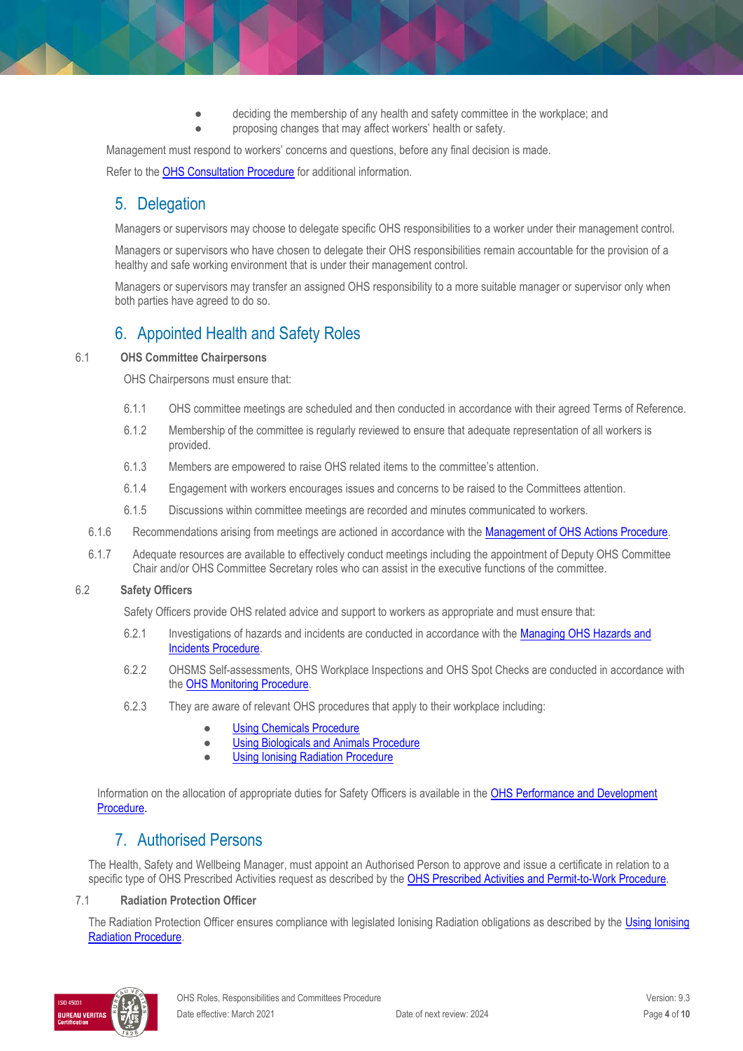deciding the membership of any health and safety committee in the workplace; and proposing changes that may affect workers' health or safety.

Management must respond to workers' concerns and questions, before any final decision is made. Refer to th[e OHS Consultation Procedure](https://publicpolicydms.monash.edu/Monash/documents/1935625) for additional information.

# 5. Delegation

Managers or supervisors may choose to delegate specific OHS responsibilities to a worker under their management control.

Managers or supervisors who have chosen to delegate their OHS responsibilities remain accountable for the provision of a healthy and safe working environment that is under their management control.

Managers or supervisors may transfer an assigned OHS responsibility to a more suitable manager or supervisor only when both parties have agreed to do so.

# 6. Appointed Health and Safety Roles

#### 6.1 **OHS Committee Chairpersons**

OHS Chairpersons must ensure that:

- 6.1.1 OHS committee meetings are scheduled and then conducted in accordance with their agreed Terms of Reference.
- 6.1.2 Membership of the committee is regularly reviewed to ensure that adequate representation of all workers is provided.
- 6.1.3 Members are empowered to raise OHS related items to the committee's attention.
- 6.1.4 Engagement with workers encourages issues and concerns to be raised to the Committees attention.
- 6.1.5 Discussions within committee meetings are recorded and minutes communicated to workers.
- 6.1.6 Recommendations arising from meetings are actioned in accordance with the [Management of OHS Actions Procedure.](https://publicpolicydms.monash.edu/Monash/documents/1935618)
- 6.1.7 Adequate resources are available to effectively conduct meetings including the appointment of Deputy OHS Committee Chair and/or OHS Committee Secretary roles who can assist in the executive functions of the committee.

#### 6.2 **Safety Officers**

Safety Officers provide OHS related advice and support to workers as appropriate and must ensure that:

- 6.2.1 Investigations of hazards and incidents are conducted in accordance with the [Managing OHS Hazards and](https://publicpolicydms.monash.edu/Monash/documents/1935623)  [Incidents Procedure.](https://publicpolicydms.monash.edu/Monash/documents/1935623)
- 6.2.2 OHSMS Self-assessments, OHS Workplace Inspections and OHS Spot Checks are conducted in accordance with the [OHS Monitoring Procedure.](https://www.monash.edu/__data/assets/pdf_file/0009/129573/OHS-Monitoring-Procedure.pdf)
- 6.2.3 They are aware of relevant OHS procedures that apply to their workplace including:
	- **[Using Chemicals Procedure](https://publicpolicydms.monash.edu/Monash/documents/1935640)**
	- **[Using Biologicals and Animals Procedure](https://publicpolicydms.monash.edu/Monash/documents/1935647)**
	- **[Using Ionising Radiation Procedure](https://publicpolicydms.monash.edu/Monash/documents/1935648)**

Information on the allocation of appropriate duties for Safety Officers is available in the [OHS Performance and Development](https://publicpolicydms.monash.edu/Monash/documents/1935643)  [Procedure.](https://publicpolicydms.monash.edu/Monash/documents/1935643)

## 7. Authorised Persons

The Health, Safety and Wellbeing Manager, must appoint an Authorised Person to approve and issue a certificate in relation to a specific type of OHS Prescribed Activities request as described by th[e OHS Prescribed Activities and Permit-to-Work Procedure.](https://publicpolicydms.monash.edu/Monash/documents/1935634)

#### 7.1 **Radiation Protection Officer**

The Radiation Protection Officer ensures compliance with legislated Ionising Radiation obligations as described by the Using Ionising [Radiation Procedure.](https://publicpolicydms.monash.edu/Monash/documents/1935648) 

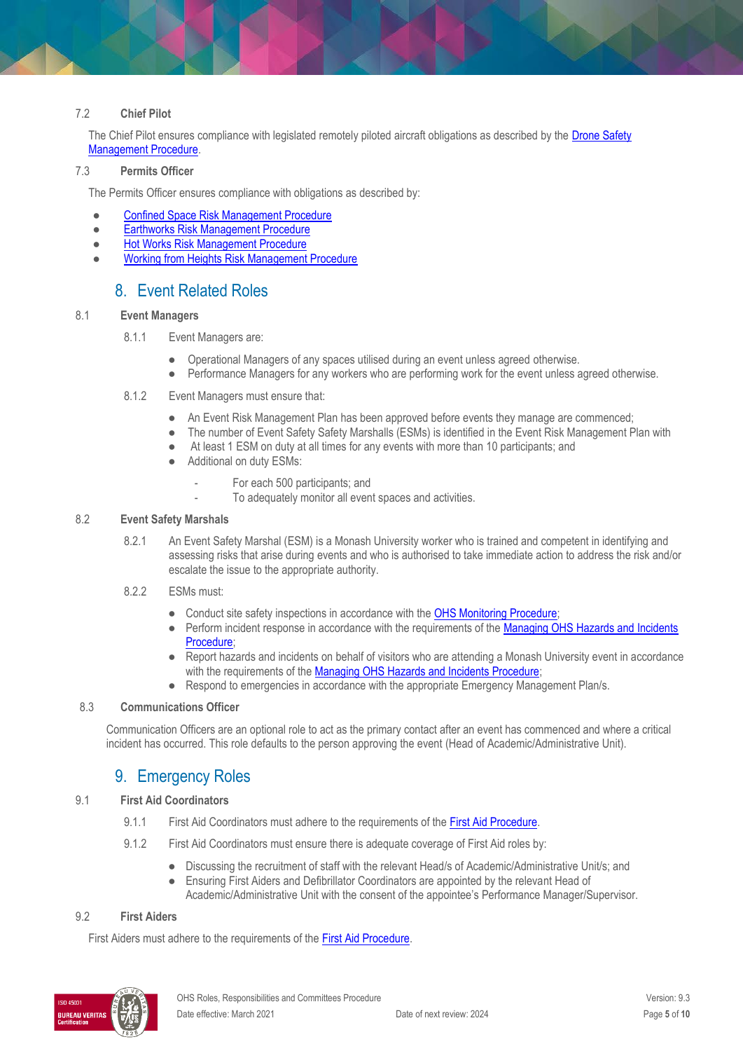#### 7.2 **Chief Pilot**

The Chief Pilot ensures compliance with legislated remotely piloted aircraft obligations as described by the [Drone Safety](https://publicpolicydms.monash.edu/Monash/documents/1935609) [Management Procedure.](https://publicpolicydms.monash.edu/Monash/documents/1935609)

#### 7.3 **Permits Officer**

The Permits Officer ensures compliance with obligations as described by:

- [Confined Space Risk Management Procedure](https://publicpolicydms.monash.edu/Monash/documents/1935605)
- [Earthworks Risk Management Procedure](https://publicpolicydms.monash.edu/Monash/documents/1935598)
- [Hot Works Risk Management Procedure](https://publicpolicydms.monash.edu/Monash/documents/1935614)
- [Working from Heights Risk Management Procedure](https://publicpolicydms.monash.edu/Monash/documents/1935641)

## 8. Event Related Roles

#### 8.1 **Event Managers**

#### 8.1.1 Event Managers are:

- Operational Managers of any spaces utilised during an event unless agreed otherwise.
- Performance Managers for any workers who are performing work for the event unless agreed otherwise.

#### 8.1.2 Event Managers must ensure that:

- An Event Risk Management Plan has been approved before events they manage are commenced;
- The number of Event Safety Safety Marshalls (ESMs) is identified in the Event Risk Management Plan with
- At least 1 ESM on duty at all times for any events with more than 10 participants; and
- Additional on duty ESMs:
	- For each 500 participants; and
	- To adequately monitor all event spaces and activities.

#### 8.2 **Event Safety Marshals**

- 8.2.1 An Event Safety Marshal (ESM) is a Monash University worker who is trained and competent in identifying and assessing risks that arise during events and who is authorised to take immediate action to address the risk and/or escalate the issue to the appropriate authority.
- 8.2.2 ESMs must:
	- Conduct site safety inspections in accordance with the [OHS Monitoring Procedure;](https://publicpolicydms.monash.edu/Monash/documents/1935632)
	- Perform incident response in accordance with the requirements of the Managing OHS Hazards and Incidents [Procedure;](https://publicpolicydms.monash.edu/Monash/documents/1935623)
	- Report hazards and incidents on behalf of visitors who are attending a Monash University event in accordance with the requirements of th[e Managing OHS Hazards and Incidents Procedure;](https://publicpolicydms.monash.edu/Monash/documents/1935623)
	- Respond to emergencies in accordance with the appropriate Emergency Management Plan/s.

#### 8.3 **Communications Officer**

Communication Officers are an optional role to act as the primary contact after an event has commenced and where a critical incident has occurred. This role defaults to the person approving the event (Head of Academic/Administrative Unit).

## 9. Emergency Roles

#### 9.1 **First Aid Coordinators**

- 9.1.1 First Aid Coordinators must adhere to the requirements of th[e First Aid Procedure.](https://publicpolicydms.monash.edu/Monash/documents/1935610)
- 9.1.2 First Aid Coordinators must ensure there is adequate coverage of First Aid roles by:
	- Discussing the recruitment of staff with the relevant Head/s of Academic/Administrative Unit/s; and
	- Ensuring First Aiders and Defibrillator Coordinators are appointed by the relevant Head of Academic/Administrative Unit with the consent of the appointee's Performance Manager/Supervisor.

#### 9.2 **First Aiders**

First Aiders must adhere to the requirements of the [First Aid Procedure.](https://publicpolicydms.monash.edu/Monash/documents/1935610)

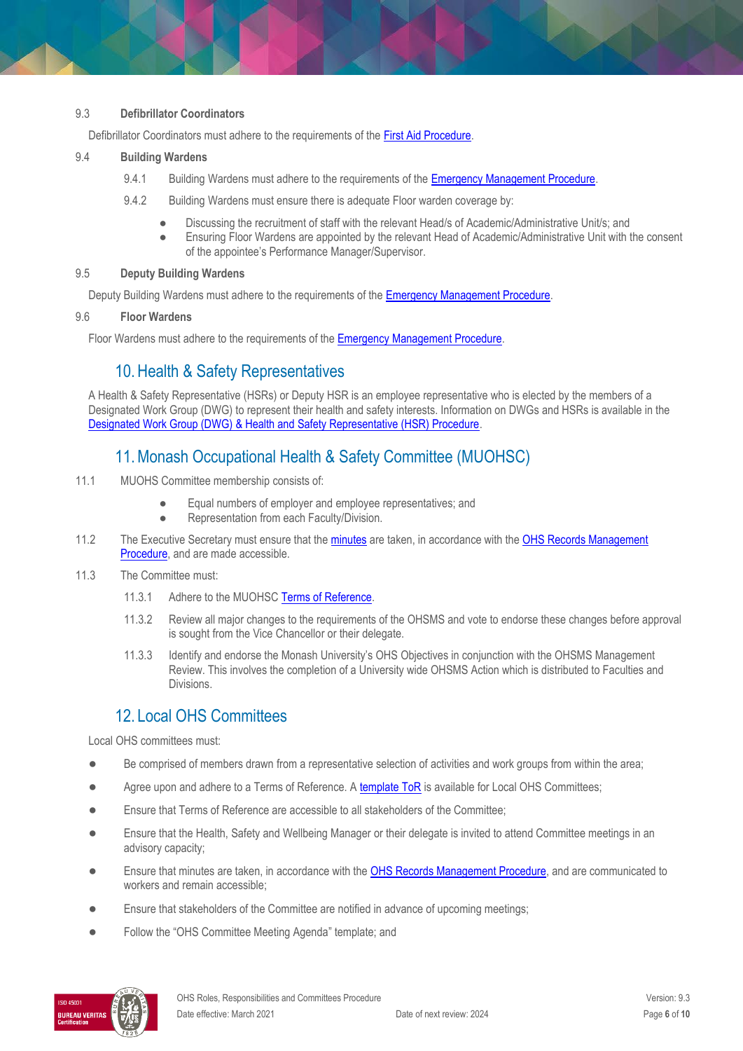#### 9.3 **Defibrillator Coordinators**

Defibrillator Coordinators must adhere to the requirements of th[e First Aid Procedure.](https://publicpolicydms.monash.edu/Monash/documents/1935610)

#### 9.4 **Building Wardens**

- 9.4.1 Building Wardens must adhere to the requirements of th[e Emergency Management Procedure.](https://publicpolicydms.monash.edu/Monash/documents/1935608)
- 9.4.2 Building Wardens must ensure there is adequate Floor warden coverage by:
	- Discussing the recruitment of staff with the relevant Head/s of Academic/Administrative Unit/s; and
	- Ensuring Floor Wardens are appointed by the relevant Head of Academic/Administrative Unit with the consent of the appointee's Performance Manager/Supervisor.

#### 9.5 **Deputy Building Wardens**

Deputy Building Wardens must adhere to the requirements of the [Emergency Management Procedure.](https://publicpolicydms.monash.edu/Monash/documents/1935608)

#### 9.6 **Floor Wardens**

Floor Wardens must adhere to the requirements of th[e Emergency Management Procedure.](https://publicpolicydms.monash.edu/Monash/documents/1935608)

## 10.Health & Safety Representatives

A Health & Safety Representative (HSRs) or Deputy HSR is an employee representative who is elected by the members of a Designated Work Group (DWG) to represent their health and safety interests. Information on DWGs and HSRs is available in the [Designated Work Group \(DWG\) & Health and Safety Representative \(HSR\) Procedure.](https://publicpolicydms.monash.edu/Monash/documents/1935607)

# 11.Monash Occupational Health & Safety Committee (MUOHSC)

- 11.1 MUOHS Committee membership consists of:
	- Equal numbers of employer and employee representatives; and
	- Representation from each Faculty/Division.
- 11.2 The Executive Secretary must ensure that the [minutes](https://www.monash.edu/ohs/OHS-structure-responsibilities/monash-ohs-committee/meetings) are taken, in accordance with the OHS Records Management [Procedure,](https://publicpolicydms.monash.edu/Monash/documents/1935642) and are made accessible.
- 11.3 The Committee must:
	- 11.3.1 Adhere to the MUOHS[C Terms of Reference.](https://www.monash.edu/ohs/OHS-structure-responsibilities/monash-ohs-committee/terms-of-reference)
	- 11.3.2 Review all major changes to the requirements of the OHSMS and vote to endorse these changes before approval is sought from the Vice Chancellor or their delegate.
	- 11.3.3 Identify and endorse the Monash University's OHS Objectives in conjunction with the OHSMS Management Review. This involves the completion of a University wide OHSMS Action which is distributed to Faculties and Divisions.

# 12. Local OHS Committees

Local OHS committees must:

- Be comprised of members drawn from a representative selection of activities and work groups from within the area;
- Agree upon and adhere to a Terms of Reference. [A template ToR](https://www.monash.edu/__data/assets/word_doc/0003/2210898/Local-OHS-Committee-template.docx) is available for Local OHS Committees;
- Ensure that Terms of Reference are accessible to all stakeholders of the Committee;
- Ensure that the Health, Safety and Wellbeing Manager or their delegate is invited to attend Committee meetings in an advisory capacity;
- Ensure that minutes are taken, in accordance with the [OHS Records Management Procedure,](https://publicpolicydms.monash.edu/Monash/documents/1935642) and are communicated to workers and remain accessible;
- Ensure that stakeholders of the Committee are notified in advance of upcoming meetings;
- Follow the "OHS Committee Meeting Agenda" template; and

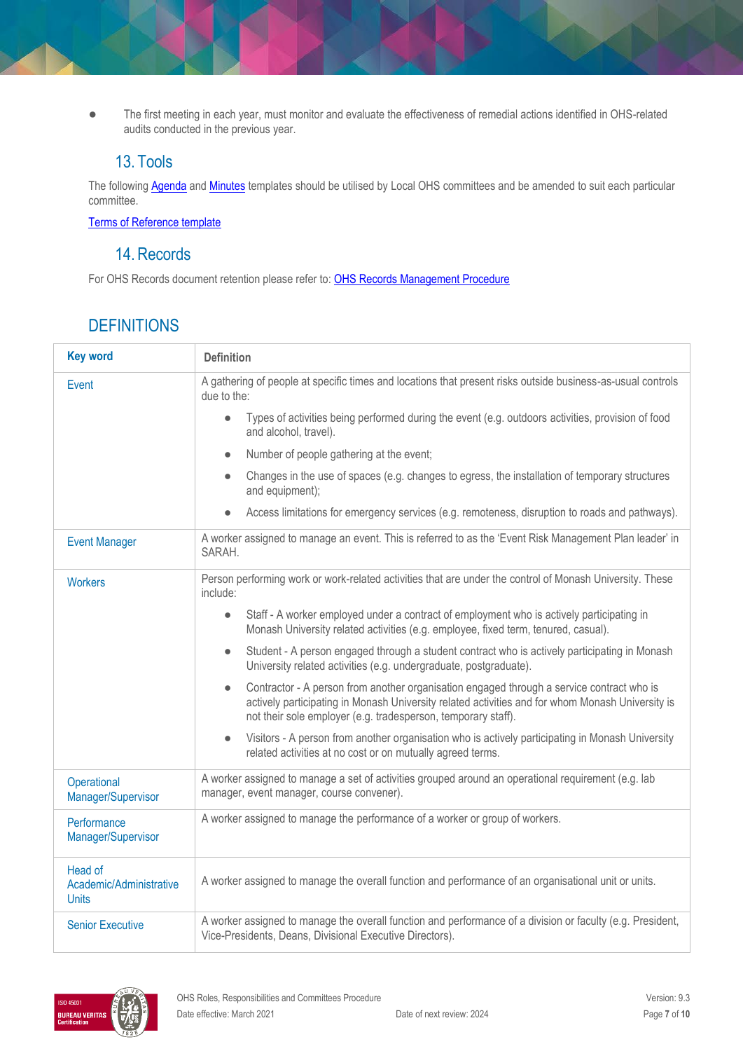● The first meeting in each year, must monitor and evaluate the effectiveness of remedial actions identified in OHS-related audits conducted in the previous year.

# 13. Tools

The followin[g Agenda](https://www.monash.edu/__data/assets/word_doc/0003/113709/Agenda-template.docx) and [Minutes](https://www.monash.edu/__data/assets/word_doc/0020/122951/Minutes-template.docx) templates should be utilised by Local OHS committees and be amended to suit each particular committee.

[Terms of Reference template](https://www.monash.edu/__data/assets/word_doc/0003/2210898/Local-OHS-Committee-template.docx)

## 14.Records

For OHS Records document retention please refer to: [OHS Records Management Procedure](https://publicpolicydms.monash.edu/Monash/documents/1935642)

# **DEFINITIONS**

| <b>Key word</b>                                    | <b>Definition</b>                                                                                                                                                                                                                                                           |  |
|----------------------------------------------------|-----------------------------------------------------------------------------------------------------------------------------------------------------------------------------------------------------------------------------------------------------------------------------|--|
| Event                                              | A gathering of people at specific times and locations that present risks outside business-as-usual controls<br>due to the:                                                                                                                                                  |  |
|                                                    | Types of activities being performed during the event (e.g. outdoors activities, provision of food<br>$\bullet$<br>and alcohol, travel).                                                                                                                                     |  |
|                                                    | Number of people gathering at the event;<br>$\bullet$                                                                                                                                                                                                                       |  |
|                                                    | Changes in the use of spaces (e.g. changes to egress, the installation of temporary structures<br>$\bullet$<br>and equipment);                                                                                                                                              |  |
|                                                    | Access limitations for emergency services (e.g. remoteness, disruption to roads and pathways).<br>$\bullet$                                                                                                                                                                 |  |
| <b>Event Manager</b>                               | A worker assigned to manage an event. This is referred to as the 'Event Risk Management Plan leader' in<br>SARAH.                                                                                                                                                           |  |
| <b>Workers</b>                                     | Person performing work or work-related activities that are under the control of Monash University. These<br>include:                                                                                                                                                        |  |
|                                                    | Staff - A worker employed under a contract of employment who is actively participating in<br>$\bullet$<br>Monash University related activities (e.g. employee, fixed term, tenured, casual).                                                                                |  |
|                                                    | Student - A person engaged through a student contract who is actively participating in Monash<br>$\bullet$<br>University related activities (e.g. undergraduate, postgraduate).                                                                                             |  |
|                                                    | Contractor - A person from another organisation engaged through a service contract who is<br>$\bullet$<br>actively participating in Monash University related activities and for whom Monash University is<br>not their sole employer (e.g. tradesperson, temporary staff). |  |
|                                                    | Visitors - A person from another organisation who is actively participating in Monash University<br>$\bullet$<br>related activities at no cost or on mutually agreed terms.                                                                                                 |  |
| Operational<br>Manager/Supervisor                  | A worker assigned to manage a set of activities grouped around an operational requirement (e.g. lab<br>manager, event manager, course convener).                                                                                                                            |  |
| Performance<br>Manager/Supervisor                  | A worker assigned to manage the performance of a worker or group of workers.                                                                                                                                                                                                |  |
| Head of<br>Academic/Administrative<br><b>Units</b> | A worker assigned to manage the overall function and performance of an organisational unit or units.                                                                                                                                                                        |  |
| <b>Senior Executive</b>                            | A worker assigned to manage the overall function and performance of a division or faculty (e.g. President,<br>Vice-Presidents, Deans, Divisional Executive Directors).                                                                                                      |  |

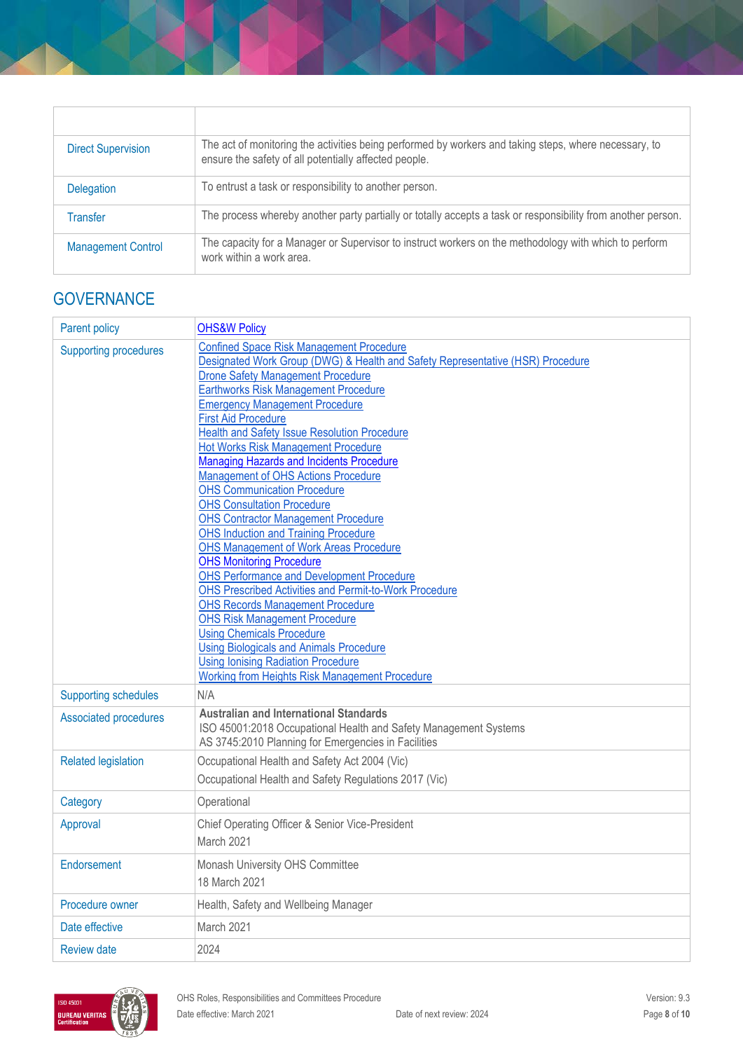| <b>Direct Supervision</b> | The act of monitoring the activities being performed by workers and taking steps, where necessary, to<br>ensure the safety of all potentially affected people. |
|---------------------------|----------------------------------------------------------------------------------------------------------------------------------------------------------------|
| <b>Delegation</b>         | To entrust a task or responsibility to another person.                                                                                                         |
| Transfer                  | The process whereby another party partially or totally accepts a task or responsibility from another person.                                                   |
| <b>Management Control</b> | The capacity for a Manager or Supervisor to instruct workers on the methodology with which to perform<br>work within a work area.                              |

# **GOVERNANCE**

| <b>Parent policy</b>                                       | <b>OHS&amp;W Policy</b>                                                                                                                                                                                                                                                                                                                                                                                                                                                                                                                                                                                                                                                                                                                                                                                                                                                                                                                                                                                                                                                                                                                |  |
|------------------------------------------------------------|----------------------------------------------------------------------------------------------------------------------------------------------------------------------------------------------------------------------------------------------------------------------------------------------------------------------------------------------------------------------------------------------------------------------------------------------------------------------------------------------------------------------------------------------------------------------------------------------------------------------------------------------------------------------------------------------------------------------------------------------------------------------------------------------------------------------------------------------------------------------------------------------------------------------------------------------------------------------------------------------------------------------------------------------------------------------------------------------------------------------------------------|--|
| <b>Supporting procedures</b>                               | <b>Confined Space Risk Management Procedure</b><br>Designated Work Group (DWG) & Health and Safety Representative (HSR) Procedure<br><b>Drone Safety Management Procedure</b><br>Earthworks Risk Management Procedure<br><b>Emergency Management Procedure</b><br><b>First Aid Procedure</b><br>Health and Safety Issue Resolution Procedure<br><b>Hot Works Risk Management Procedure</b><br>Managing Hazards and Incidents Procedure<br>Management of OHS Actions Procedure<br><b>OHS Communication Procedure</b><br><b>OHS Consultation Procedure</b><br><b>OHS Contractor Management Procedure</b><br><b>OHS Induction and Training Procedure</b><br><b>OHS Management of Work Areas Procedure</b><br><b>OHS Monitoring Procedure</b><br><b>OHS Performance and Development Procedure</b><br>OHS Prescribed Activities and Permit-to-Work Procedure<br><b>OHS Records Management Procedure</b><br><b>OHS Risk Management Procedure</b><br><b>Using Chemicals Procedure</b><br><b>Using Biologicals and Animals Procedure</b><br><b>Using Ionising Radiation Procedure</b><br><b>Working from Heights Risk Management Procedure</b> |  |
| <b>Supporting schedules</b>                                | N/A                                                                                                                                                                                                                                                                                                                                                                                                                                                                                                                                                                                                                                                                                                                                                                                                                                                                                                                                                                                                                                                                                                                                    |  |
| <b>Associated procedures</b><br><b>Related legislation</b> | <b>Australian and International Standards</b><br>ISO 45001:2018 Occupational Health and Safety Management Systems<br>AS 3745:2010 Planning for Emergencies in Facilities<br>Occupational Health and Safety Act 2004 (Vic)                                                                                                                                                                                                                                                                                                                                                                                                                                                                                                                                                                                                                                                                                                                                                                                                                                                                                                              |  |
|                                                            | Occupational Health and Safety Regulations 2017 (Vic)                                                                                                                                                                                                                                                                                                                                                                                                                                                                                                                                                                                                                                                                                                                                                                                                                                                                                                                                                                                                                                                                                  |  |
| Category                                                   | Operational                                                                                                                                                                                                                                                                                                                                                                                                                                                                                                                                                                                                                                                                                                                                                                                                                                                                                                                                                                                                                                                                                                                            |  |
| Approval                                                   | Chief Operating Officer & Senior Vice-President<br>March 2021                                                                                                                                                                                                                                                                                                                                                                                                                                                                                                                                                                                                                                                                                                                                                                                                                                                                                                                                                                                                                                                                          |  |
| Endorsement                                                | Monash University OHS Committee<br>18 March 2021                                                                                                                                                                                                                                                                                                                                                                                                                                                                                                                                                                                                                                                                                                                                                                                                                                                                                                                                                                                                                                                                                       |  |
| Procedure owner                                            | Health, Safety and Wellbeing Manager                                                                                                                                                                                                                                                                                                                                                                                                                                                                                                                                                                                                                                                                                                                                                                                                                                                                                                                                                                                                                                                                                                   |  |
| Date effective                                             | March 2021                                                                                                                                                                                                                                                                                                                                                                                                                                                                                                                                                                                                                                                                                                                                                                                                                                                                                                                                                                                                                                                                                                                             |  |
| <b>Review date</b>                                         | 2024                                                                                                                                                                                                                                                                                                                                                                                                                                                                                                                                                                                                                                                                                                                                                                                                                                                                                                                                                                                                                                                                                                                                   |  |

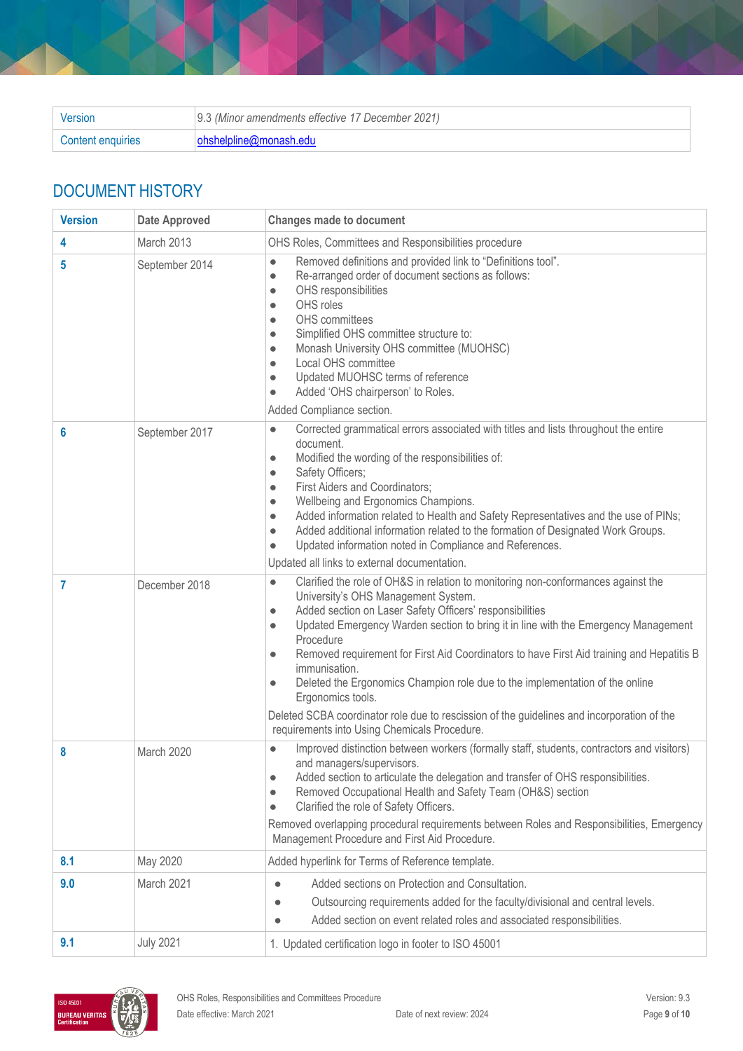| Version           | 9.3 (Minor amendments effective 17 December 2021) |  |
|-------------------|---------------------------------------------------|--|
| Content enquiries | ohshelpline@monash.edu                            |  |

# DOCUMENT HISTORY

| <b>Version</b> | <b>Date Approved</b> | <b>Changes made to document</b>                                                                                                                                                                                                                                                                                                                                                                                                                                                                                                                                                                                                                                                                                           |
|----------------|----------------------|---------------------------------------------------------------------------------------------------------------------------------------------------------------------------------------------------------------------------------------------------------------------------------------------------------------------------------------------------------------------------------------------------------------------------------------------------------------------------------------------------------------------------------------------------------------------------------------------------------------------------------------------------------------------------------------------------------------------------|
| 4              | March 2013           | OHS Roles, Committees and Responsibilities procedure                                                                                                                                                                                                                                                                                                                                                                                                                                                                                                                                                                                                                                                                      |
| 5              | September 2014       | Removed definitions and provided link to "Definitions tool".<br>$\bullet$<br>Re-arranged order of document sections as follows:<br>$\bullet$<br>OHS responsibilities<br>$\bullet$<br>OHS roles<br>$\bullet$<br>OHS committees<br>$\bullet$<br>Simplified OHS committee structure to:<br>$\bullet$<br>Monash University OHS committee (MUOHSC)<br>$\bullet$<br>Local OHS committee<br>$\bullet$<br>Updated MUOHSC terms of reference<br>$\bullet$<br>Added 'OHS chairperson' to Roles.<br>$\bullet$<br>Added Compliance section.                                                                                                                                                                                           |
| 6              | September 2017       | Corrected grammatical errors associated with titles and lists throughout the entire<br>$\bullet$<br>document.<br>Modified the wording of the responsibilities of:<br>$\bullet$<br>Safety Officers;<br>$\bullet$<br>First Aiders and Coordinators;<br>$\bullet$<br>Wellbeing and Ergonomics Champions.<br>$\bullet$<br>Added information related to Health and Safety Representatives and the use of PINs;<br>$\bullet$<br>Added additional information related to the formation of Designated Work Groups.<br>$\bullet$<br>Updated information noted in Compliance and References.<br>$\bullet$<br>Updated all links to external documentation.                                                                           |
| 7              | December 2018        | Clarified the role of OH&S in relation to monitoring non-conformances against the<br>$\bullet$<br>University's OHS Management System.<br>Added section on Laser Safety Officers' responsibilities<br>$\bullet$<br>Updated Emergency Warden section to bring it in line with the Emergency Management<br>$\bullet$<br>Procedure<br>Removed requirement for First Aid Coordinators to have First Aid training and Hepatitis B<br>$\bullet$<br>immunisation.<br>Deleted the Ergonomics Champion role due to the implementation of the online<br>$\bullet$<br>Ergonomics tools.<br>Deleted SCBA coordinator role due to rescission of the guidelines and incorporation of the<br>requirements into Using Chemicals Procedure. |
| 8              | March 2020           | Improved distinction between workers (formally staff, students, contractors and visitors)<br>$\bullet$<br>and managers/supervisors.<br>Added section to articulate the delegation and transfer of OHS responsibilities.<br>$\bullet$<br>Removed Occupational Health and Safety Team (OH&S) section<br>$\bullet$<br>Clarified the role of Safety Officers.<br>$\bullet$<br>Removed overlapping procedural requirements between Roles and Responsibilities, Emergency<br>Management Procedure and First Aid Procedure.                                                                                                                                                                                                      |
| 8.1            | May 2020             | Added hyperlink for Terms of Reference template.                                                                                                                                                                                                                                                                                                                                                                                                                                                                                                                                                                                                                                                                          |
| 9.0            | March 2021           | Added sections on Protection and Consultation.<br>Outsourcing requirements added for the faculty/divisional and central levels.<br>$\bullet$<br>Added section on event related roles and associated responsibilities.<br>$\bullet$                                                                                                                                                                                                                                                                                                                                                                                                                                                                                        |
| 9.1            | <b>July 2021</b>     | 1. Updated certification logo in footer to ISO 45001                                                                                                                                                                                                                                                                                                                                                                                                                                                                                                                                                                                                                                                                      |